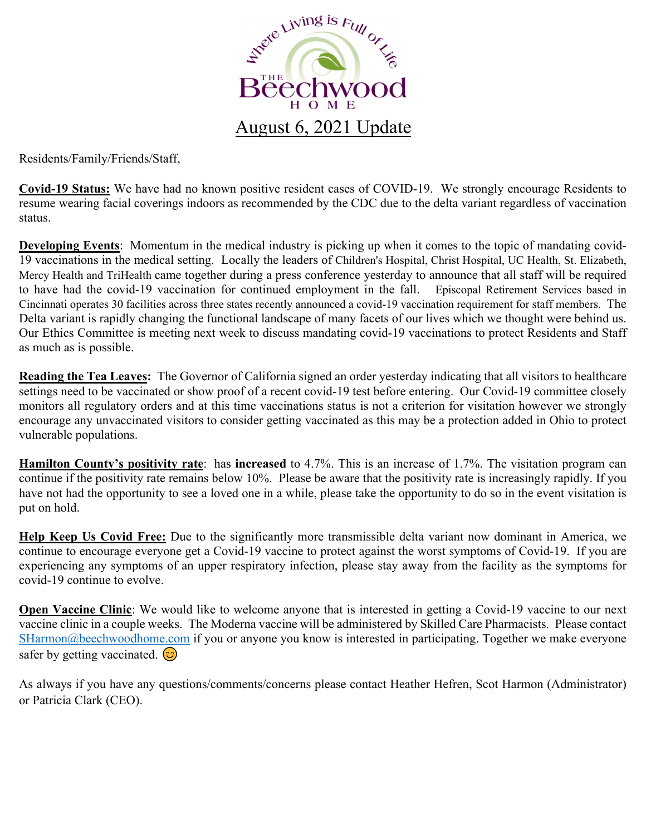

Residents/Family/Friends/Staff,

**Covid-19 Status:** We have had no known positive resident cases of COVID-19. We strongly encourage Residents to resume wearing facial coverings indoors as recommended by the CDC due to the delta variant regardless of vaccination status.

**Developing Events**: Momentum in the medical industry is picking up when it comes to the topic of mandating covid-19 vaccinations in the medical setting. Locally the leaders of Children's Hospital, Christ Hospital, UC Health, St. Elizabeth, Mercy Health and TriHealth came together during a press conference yesterday to announce that all staff will be required to have had the covid-19 vaccination for continued employment in the fall. Episcopal Retirement Services based in Cincinnati operates 30 facilities across three states recently announced a covid-19 vaccination requirement for staff members. The Delta variant is rapidly changing the functional landscape of many facets of our lives which we thought were behind us. Our Ethics Committee is meeting next week to discuss mandating covid-19 vaccinations to protect Residents and Staff as much as is possible.

**Reading the Tea Leaves:** The Governor of California signed an order yesterday indicating that all visitors to healthcare settings need to be vaccinated or show proof of a recent covid-19 test before entering. Our Covid-19 committee closely monitors all regulatory orders and at this time vaccinations status is not a criterion for visitation however we strongly encourage any unvaccinated visitors to consider getting vaccinated as this may be a protection added in Ohio to protect vulnerable populations.

**Hamilton County's positivity rate**: has **increased** to 4.7%. This is an increase of 1.7%. The visitation program can continue if the positivity rate remains below 10%. Please be aware that the positivity rate is increasingly rapidly. If you have not had the opportunity to see a loved one in a while, please take the opportunity to do so in the event visitation is put on hold.

**Help Keep Us Covid Free:** Due to the significantly more transmissible delta variant now dominant in America, we continue to encourage everyone get a Covid-19 vaccine to protect against the worst symptoms of Covid-19. If you are experiencing any symptoms of an upper respiratory infection, please stay away from the facility as the symptoms for covid-19 continue to evolve.

**Open Vaccine Clinic**: We would like to welcome anyone that is interested in getting a Covid-19 vaccine to our next vaccine clinic in a couple weeks. The Moderna vaccine will be administered by Skilled Care Pharmacists. Please contact SHarmon@beechwoodhome.com if you or anyone you know is interested in participating. Together we make everyone safer by getting vaccinated.  $\odot$ 

As always if you have any questions/comments/concerns please contact Heather Hefren, Scot Harmon (Administrator) or Patricia Clark (CEO).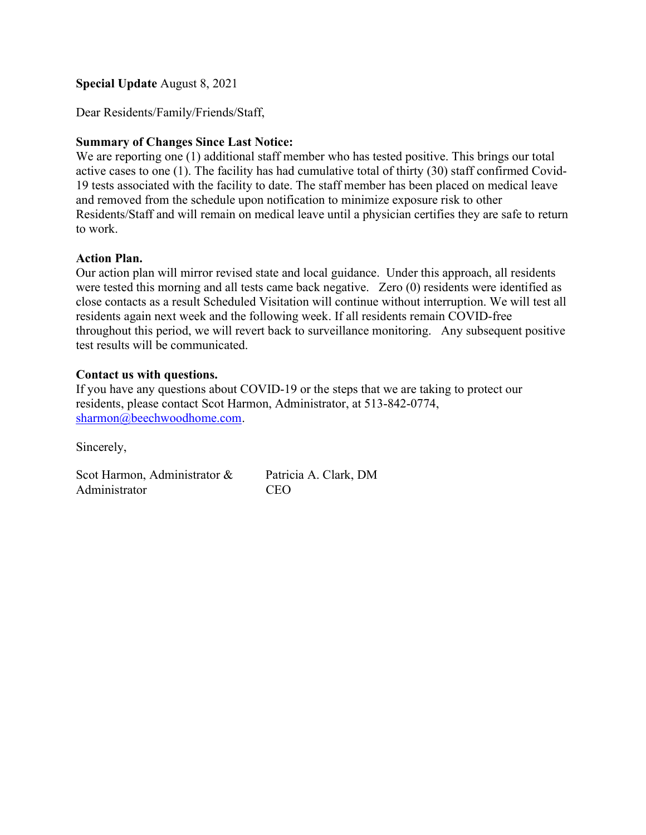### Special Update August 8, 2021

Dear Residents/Family/Friends/Staff,

### Summary of Changes Since Last Notice:

We are reporting one (1) additional staff member who has tested positive. This brings our total active cases to one (1). The facility has had cumulative total of thirty (30) staff confirmed Covid-19 tests associated with the facility to date. The staff member has been placed on medical leave and removed from the schedule upon notification to minimize exposure risk to other Residents/Staff and will remain on medical leave until a physician certifies they are safe to return to work.

#### Action Plan.

Our action plan will mirror revised state and local guidance. Under this approach, all residents were tested this morning and all tests came back negative. Zero (0) residents were identified as close contacts as a result Scheduled Visitation will continue without interruption. We will test all residents again next week and the following week. If all residents remain COVID-free throughout this period, we will revert back to surveillance monitoring. Any subsequent positive test results will be communicated.

### Contact us with questions.

If you have any questions about COVID-19 or the steps that we are taking to protect our residents, please contact Scot Harmon, Administrator, at 513-842-0774, sharmon@beechwoodhome.com.

Sincerely,

Scot Harmon, Administrator & Patricia A. Clark, DM Administrator CEO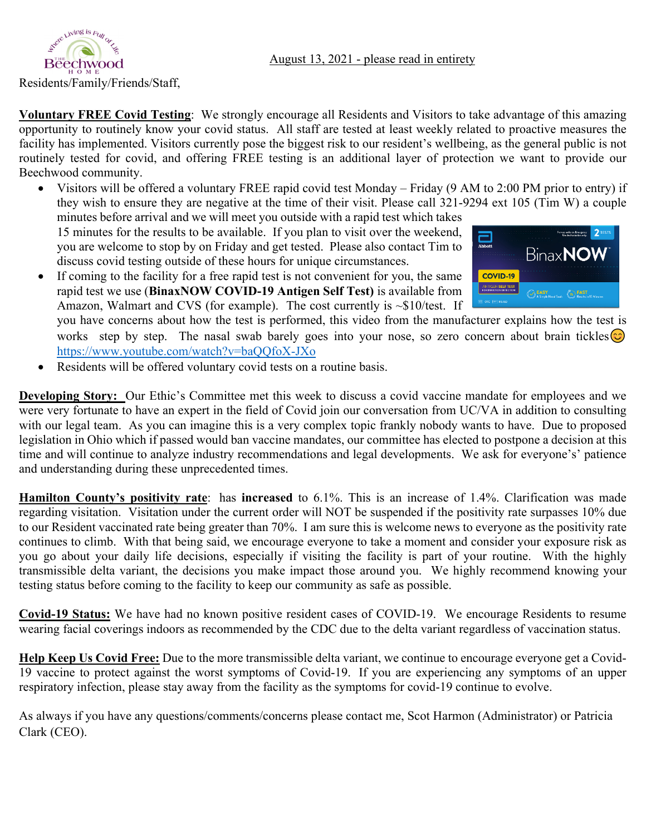

**Voluntary FREE Covid Testing**: We strongly encourage all Residents and Visitors to take advantage of this amazing opportunity to routinely know your covid status. All staff are tested at least weekly related to proactive measures the facility has implemented. Visitors currently pose the biggest risk to our resident's wellbeing, as the general public is not routinely tested for covid, and offering FREE testing is an additional layer of protection we want to provide our Beechwood community.

 Visitors will be offered a voluntary FREE rapid covid test Monday – Friday (9 AM to 2:00 PM prior to entry) if they wish to ensure they are negative at the time of their visit. Please call 321-9294 ext 105 (Tim W) a couple minutes before arrival and we will meet you outside with a rapid test which takes

15 minutes for the results to be available. If you plan to visit over the weekend, you are welcome to stop by on Friday and get tested. Please also contact Tim to discuss covid testing outside of these hours for unique circumstances.

 If coming to the facility for a free rapid test is not convenient for you, the same rapid test we use (**BinaxNOW COVID‐19 Antigen Self Test)** is available from Amazon, Walmart and CVS (for example). The cost currently is ~\$10/test. If



you have concerns about how the test is performed, this video from the manufacturer explains how the test is works step by step. The nasal swab barely goes into your nose, so zero concern about brain tickles  $\odot$ https://www.youtube.com/watch?v=baQQfoX-JXo

Residents will be offered voluntary covid tests on a routine basis.

**Developing Story:** Our Ethic's Committee met this week to discuss a covid vaccine mandate for employees and we were very fortunate to have an expert in the field of Covid join our conversation from UC/VA in addition to consulting with our legal team. As you can imagine this is a very complex topic frankly nobody wants to have. Due to proposed legislation in Ohio which if passed would ban vaccine mandates, our committee has elected to postpone a decision at this time and will continue to analyze industry recommendations and legal developments. We ask for everyone's' patience and understanding during these unprecedented times.

**Hamilton County's positivity rate**: has **increased** to 6.1%. This is an increase of 1.4%. Clarification was made regarding visitation. Visitation under the current order will NOT be suspended if the positivity rate surpasses 10% due to our Resident vaccinated rate being greater than 70%. I am sure this is welcome news to everyone as the positivity rate continues to climb. With that being said, we encourage everyone to take a moment and consider your exposure risk as you go about your daily life decisions, especially if visiting the facility is part of your routine. With the highly transmissible delta variant, the decisions you make impact those around you. We highly recommend knowing your testing status before coming to the facility to keep our community as safe as possible.

**Covid-19 Status:** We have had no known positive resident cases of COVID-19. We encourage Residents to resume wearing facial coverings indoors as recommended by the CDC due to the delta variant regardless of vaccination status.

**Help Keep Us Covid Free:** Due to the more transmissible delta variant, we continue to encourage everyone get a Covid-19 vaccine to protect against the worst symptoms of Covid-19. If you are experiencing any symptoms of an upper respiratory infection, please stay away from the facility as the symptoms for covid-19 continue to evolve.

As always if you have any questions/comments/concerns please contact me, Scot Harmon (Administrator) or Patricia Clark (CEO).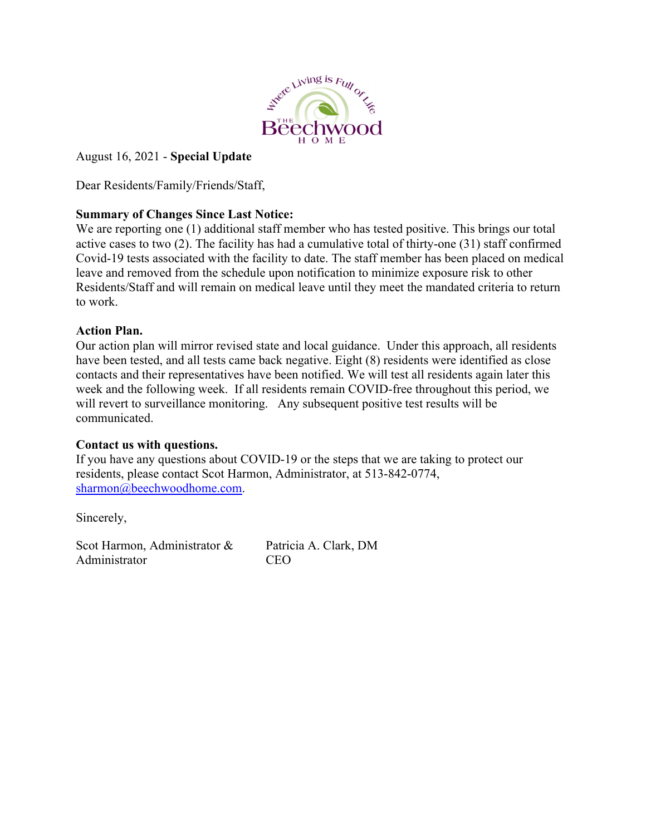

# August 16, 2021 - **Special Update**

Dear Residents/Family/Friends/Staff,

## **Summary of Changes Since Last Notice:**

We are reporting one (1) additional staff member who has tested positive. This brings our total active cases to two (2). The facility has had a cumulative total of thirty-one (31) staff confirmed Covid-19 tests associated with the facility to date. The staff member has been placed on medical leave and removed from the schedule upon notification to minimize exposure risk to other Residents/Staff and will remain on medical leave until they meet the mandated criteria to return to work.

### **Action Plan.**

Our action plan will mirror revised state and local guidance. Under this approach, all residents have been tested, and all tests came back negative. Eight (8) residents were identified as close contacts and their representatives have been notified. We will test all residents again later this week and the following week. If all residents remain COVID-free throughout this period, we will revert to surveillance monitoring. Any subsequent positive test results will be communicated.

## **Contact us with questions.**

If you have any questions about COVID-19 or the steps that we are taking to protect our residents, please contact Scot Harmon, Administrator, at 513-842-0774, sharmon@beechwoodhome.com.

Sincerely,

Scot Harmon, Administrator & Patricia A. Clark, DM Administrator CEO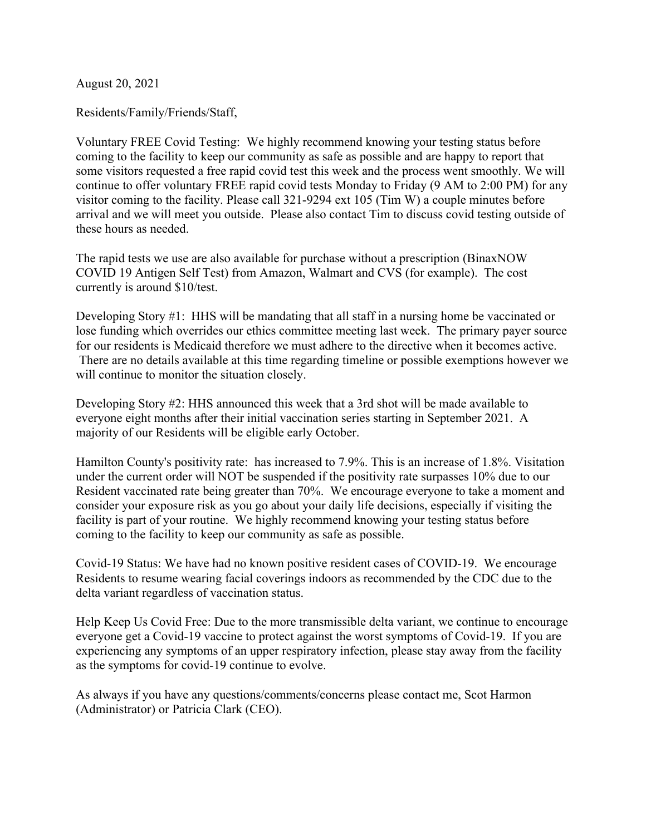August 20, 2021

Residents/Family/Friends/Staff,

Voluntary FREE Covid Testing: We highly recommend knowing your testing status before coming to the facility to keep our community as safe as possible and are happy to report that some visitors requested a free rapid covid test this week and the process went smoothly. We will continue to offer voluntary FREE rapid covid tests Monday to Friday (9 AM to 2:00 PM) for any visitor coming to the facility. Please call 321-9294 ext 105 (Tim W) a couple minutes before arrival and we will meet you outside. Please also contact Tim to discuss covid testing outside of these hours as needed.

The rapid tests we use are also available for purchase without a prescription (BinaxNOW COVID 19 Antigen Self Test) from Amazon, Walmart and CVS (for example). The cost currently is around \$10/test.

Developing Story #1: HHS will be mandating that all staff in a nursing home be vaccinated or lose funding which overrides our ethics committee meeting last week. The primary payer source for our residents is Medicaid therefore we must adhere to the directive when it becomes active. There are no details available at this time regarding timeline or possible exemptions however we will continue to monitor the situation closely.

Developing Story #2: HHS announced this week that a 3rd shot will be made available to everyone eight months after their initial vaccination series starting in September 2021. A majority of our Residents will be eligible early October.

Hamilton County's positivity rate: has increased to 7.9%. This is an increase of 1.8%. Visitation under the current order will NOT be suspended if the positivity rate surpasses 10% due to our Resident vaccinated rate being greater than 70%. We encourage everyone to take a moment and consider your exposure risk as you go about your daily life decisions, especially if visiting the facility is part of your routine. We highly recommend knowing your testing status before coming to the facility to keep our community as safe as possible.

Covid-19 Status: We have had no known positive resident cases of COVID-19. We encourage Residents to resume wearing facial coverings indoors as recommended by the CDC due to the delta variant regardless of vaccination status.

Help Keep Us Covid Free: Due to the more transmissible delta variant, we continue to encourage everyone get a Covid-19 vaccine to protect against the worst symptoms of Covid-19. If you are experiencing any symptoms of an upper respiratory infection, please stay away from the facility as the symptoms for covid-19 continue to evolve.

As always if you have any questions/comments/concerns please contact me, Scot Harmon (Administrator) or Patricia Clark (CEO).